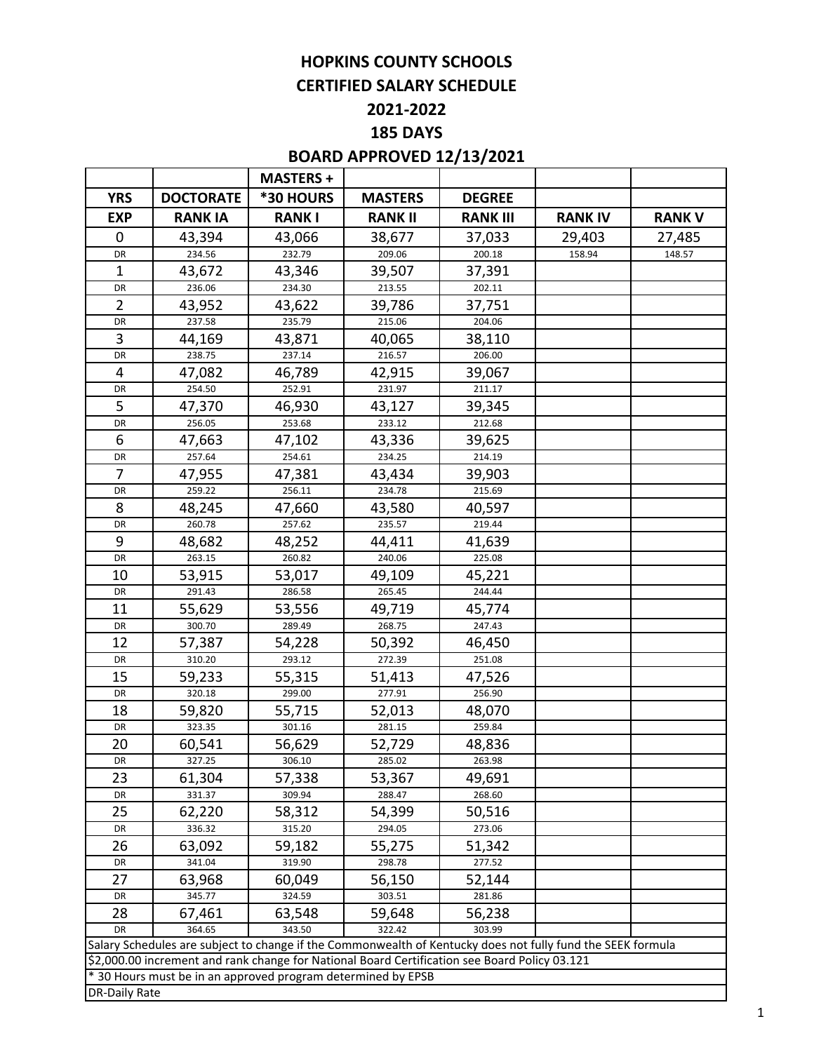# **HOPKINS COUNTY SCHOOLS CERTIFIED SALARY SCHEDULE**

# **2021-2022**

# **185 DAYS**

# **BOARD APPROVED 12/13/2021**

|                      |                                                                                                             | <b>MASTERS +</b> |                  |                  |                |               |
|----------------------|-------------------------------------------------------------------------------------------------------------|------------------|------------------|------------------|----------------|---------------|
| <b>YRS</b>           | <b>DOCTORATE</b>                                                                                            | *30 HOURS        | <b>MASTERS</b>   | <b>DEGREE</b>    |                |               |
| <b>EXP</b>           | <b>RANK IA</b>                                                                                              | <b>RANKI</b>     | <b>RANK II</b>   | <b>RANK III</b>  | <b>RANK IV</b> | <b>RANK V</b> |
| 0                    | 43,394                                                                                                      | 43,066           | 38,677           | 37,033           | 29,403         | 27,485        |
| DR                   | 234.56                                                                                                      | 232.79           | 209.06           | 200.18           | 158.94         | 148.57        |
| 1                    | 43,672                                                                                                      | 43,346           | 39,507           | 37,391           |                |               |
| DR                   | 236.06                                                                                                      | 234.30           | 213.55           | 202.11           |                |               |
| $\overline{2}$       | 43,952                                                                                                      | 43,622           | 39,786           | 37,751           |                |               |
| DR                   | 237.58                                                                                                      | 235.79           | 215.06           | 204.06           |                |               |
| 3                    | 44,169                                                                                                      | 43,871           | 40,065           | 38,110           |                |               |
| DR                   | 238.75                                                                                                      | 237.14           | 216.57           | 206.00           |                |               |
| 4                    | 47,082                                                                                                      | 46,789           | 42,915           | 39,067           |                |               |
| DR                   | 254.50                                                                                                      | 252.91           | 231.97           | 211.17           |                |               |
| 5                    | 47,370                                                                                                      | 46,930           | 43,127           | 39,345           |                |               |
| DR                   | 256.05                                                                                                      | 253.68           | 233.12           | 212.68           |                |               |
| 6                    | 47,663                                                                                                      | 47,102           | 43,336           | 39,625           |                |               |
| DR                   | 257.64                                                                                                      | 254.61           | 234.25           | 214.19           |                |               |
| 7                    | 47,955                                                                                                      | 47,381           | 43,434           | 39,903           |                |               |
| DR                   | 259.22                                                                                                      | 256.11           | 234.78           | 215.69           |                |               |
| 8                    | 48,245                                                                                                      | 47,660           | 43,580           | 40,597           |                |               |
| DR                   | 260.78                                                                                                      | 257.62           | 235.57           | 219.44           |                |               |
| 9                    | 48,682                                                                                                      | 48,252           | 44,411           | 41,639           |                |               |
| DR                   | 263.15                                                                                                      | 260.82           | 240.06           | 225.08           |                |               |
| 10                   | 53,915                                                                                                      | 53,017           | 49,109           | 45,221           |                |               |
| DR                   | 291.43                                                                                                      | 286.58           | 265.45           | 244.44           |                |               |
| 11                   | 55,629                                                                                                      | 53,556           | 49,719           | 45,774           |                |               |
| DR                   | 300.70                                                                                                      | 289.49           | 268.75           | 247.43           |                |               |
| 12                   | 57,387                                                                                                      | 54,228           | 50,392           | 46,450           |                |               |
| DR                   | 310.20                                                                                                      | 293.12           | 272.39           | 251.08           |                |               |
| 15                   | 59,233                                                                                                      | 55,315           | 51,413           | 47,526           |                |               |
| DR                   | 320.18                                                                                                      | 299.00           | 277.91           | 256.90           |                |               |
| 18                   | 59,820                                                                                                      | 55,715           | 52,013           | 48,070           |                |               |
| DR                   | 323.35                                                                                                      | 301.16           | 281.15           | 259.84           |                |               |
| 20                   | 60,541                                                                                                      | 56,629           | 52,729           | 48,836           |                |               |
| <b>DR</b>            | 327.25                                                                                                      | 306.10           | 285.02           | 263.98           |                |               |
| 23                   | 61,304                                                                                                      | 57,338           | 53,367           | 49,691           |                |               |
| DR                   | 331.37                                                                                                      | 309.94           | 288.47           | 268.60           |                |               |
| 25                   | 62,220                                                                                                      | 58,312           | 54,399           | 50,516           |                |               |
| DR                   | 336.32                                                                                                      | 315.20           | 294.05           | 273.06           |                |               |
| 26                   | 63,092                                                                                                      | 59,182           | 55,275           | 51,342           |                |               |
| DR                   | 341.04                                                                                                      | 319.90           | 298.78           | 277.52           |                |               |
| 27                   | 63,968                                                                                                      | 60,049           | 56,150           | 52,144           |                |               |
| DR                   | 345.77                                                                                                      | 324.59           | 303.51           | 281.86           |                |               |
| 28<br>DR             | 67,461<br>364.65                                                                                            | 63,548<br>343.50 | 59,648<br>322.42 | 56,238<br>303.99 |                |               |
|                      | Salary Schedules are subject to change if the Commonwealth of Kentucky does not fully fund the SEEK formula |                  |                  |                  |                |               |
|                      | \$2,000.00 increment and rank change for National Board Certification see Board Policy 03.121               |                  |                  |                  |                |               |
|                      | * 30 Hours must be in an approved program determined by EPSB                                                |                  |                  |                  |                |               |
| <b>DR-Daily Rate</b> |                                                                                                             |                  |                  |                  |                |               |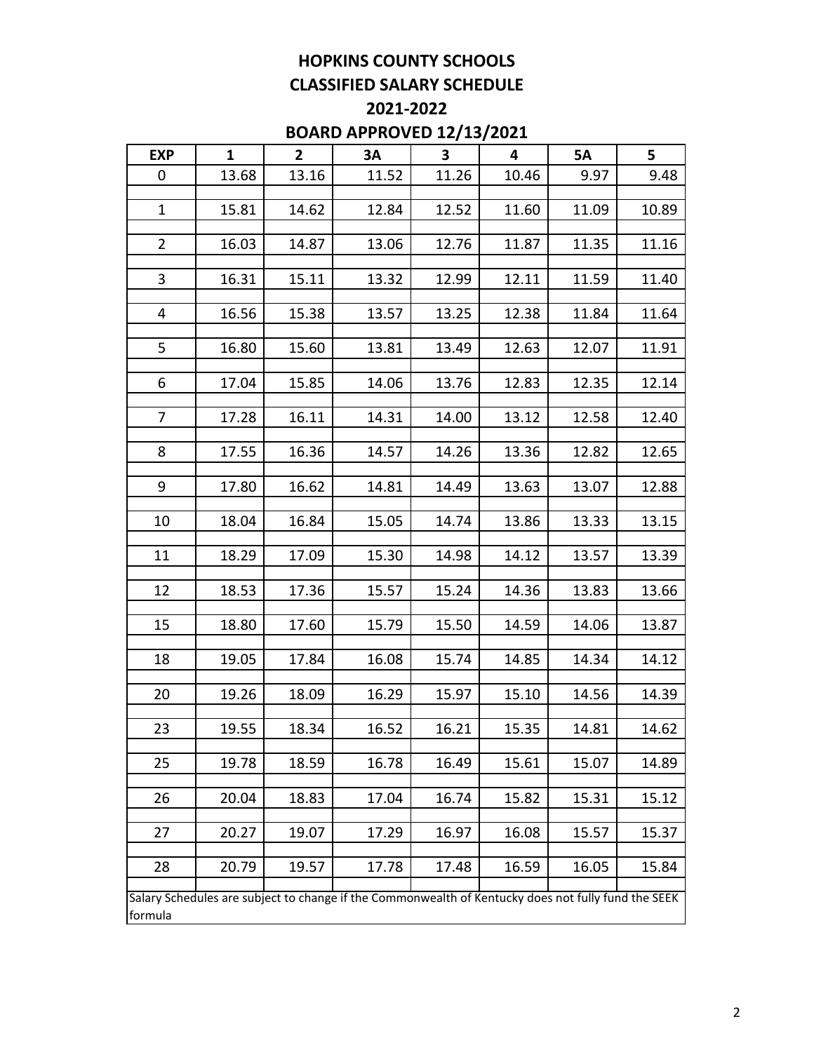# **HOPKINS COUNTY SCHOOLS CLASSIFIED SALARY SCHEDULE**

# **2021-2022 BOARD APPROVED 12/13/2021**

| <b>EXP</b>     | $\mathbf{1}$ | $2^{\circ}$ | 3A                                                                                                  | $\overline{\mathbf{3}}$ | $\overline{\mathbf{4}}$ | 5A    | 5     |
|----------------|--------------|-------------|-----------------------------------------------------------------------------------------------------|-------------------------|-------------------------|-------|-------|
|                |              |             |                                                                                                     |                         |                         |       |       |
| 0              | 13.68        | 13.16       | 11.52                                                                                               | 11.26                   | 10.46                   | 9.97  | 9.48  |
| $\mathbf{1}$   |              |             |                                                                                                     |                         |                         |       |       |
|                | 15.81        | 14.62       | 12.84                                                                                               | 12.52                   | 11.60                   | 11.09 | 10.89 |
| $\overline{2}$ | 16.03        | 14.87       | 13.06                                                                                               | 12.76                   | 11.87                   | 11.35 | 11.16 |
|                |              |             |                                                                                                     |                         |                         |       |       |
| $\mathbf{3}$   | 16.31        | 15.11       | 13.32                                                                                               | 12.99                   | 12.11                   | 11.59 | 11.40 |
|                |              |             |                                                                                                     |                         |                         |       |       |
| 4              | 16.56        | 15.38       | 13.57                                                                                               | 13.25                   | 12.38                   | 11.84 | 11.64 |
|                |              |             |                                                                                                     |                         |                         |       |       |
| 5              | 16.80        | 15.60       | 13.81                                                                                               | 13.49                   | 12.63                   | 12.07 | 11.91 |
|                |              |             |                                                                                                     |                         |                         |       |       |
| 6              | 17.04        | 15.85       | 14.06                                                                                               | 13.76                   | 12.83                   | 12.35 | 12.14 |
| $\overline{7}$ | 17.28        | 16.11       | 14.31                                                                                               | 14.00                   | 13.12                   | 12.58 | 12.40 |
|                |              |             |                                                                                                     |                         |                         |       |       |
| 8              | 17.55        | 16.36       | 14.57                                                                                               | 14.26                   | 13.36                   | 12.82 | 12.65 |
|                |              |             |                                                                                                     |                         |                         |       |       |
| 9              | 17.80        | 16.62       | 14.81                                                                                               | 14.49                   | 13.63                   | 13.07 | 12.88 |
|                |              |             |                                                                                                     |                         |                         |       |       |
| 10             | 18.04        | 16.84       | 15.05                                                                                               | 14.74                   | 13.86                   | 13.33 | 13.15 |
|                |              |             |                                                                                                     |                         |                         |       |       |
| 11             | 18.29        | 17.09       | 15.30                                                                                               | 14.98                   | 14.12                   | 13.57 | 13.39 |
|                |              |             |                                                                                                     |                         |                         |       |       |
| 12             | 18.53        | 17.36       | 15.57                                                                                               | 15.24                   | 14.36                   | 13.83 | 13.66 |
| 15             | 18.80        | 17.60       | 15.79                                                                                               | 15.50                   | 14.59                   | 14.06 | 13.87 |
|                |              |             |                                                                                                     |                         |                         |       |       |
| 18             | 19.05        | 17.84       | 16.08                                                                                               | 15.74                   | 14.85                   | 14.34 | 14.12 |
|                |              |             |                                                                                                     |                         |                         |       |       |
| 20             | 19.26        | 18.09       | 16.29                                                                                               | 15.97                   | 15.10                   | 14.56 | 14.39 |
|                |              |             |                                                                                                     |                         |                         |       |       |
| 23             | 19.55        | 18.34       | 16.52                                                                                               | 16.21                   | 15.35                   | 14.81 | 14.62 |
|                |              |             |                                                                                                     |                         |                         |       |       |
| 25             | 19.78        | 18.59       | 16.78                                                                                               | 16.49                   | 15.61                   | 15.07 | 14.89 |
|                |              |             |                                                                                                     |                         |                         |       |       |
| 26             | 20.04        | 18.83       | 17.04                                                                                               | 16.74                   | 15.82                   | 15.31 | 15.12 |
| 27             | 20.27        | 19.07       | 17.29                                                                                               | 16.97                   | 16.08                   | 15.57 | 15.37 |
|                |              |             |                                                                                                     |                         |                         |       |       |
| 28             | 20.79        | 19.57       | 17.78                                                                                               | 17.48                   | 16.59                   | 16.05 | 15.84 |
|                |              |             |                                                                                                     |                         |                         |       |       |
|                |              |             | Salary Schedules are subject to change if the Commonwealth of Kentucky does not fully fund the SEEK |                         |                         |       |       |
| formula        |              |             |                                                                                                     |                         |                         |       |       |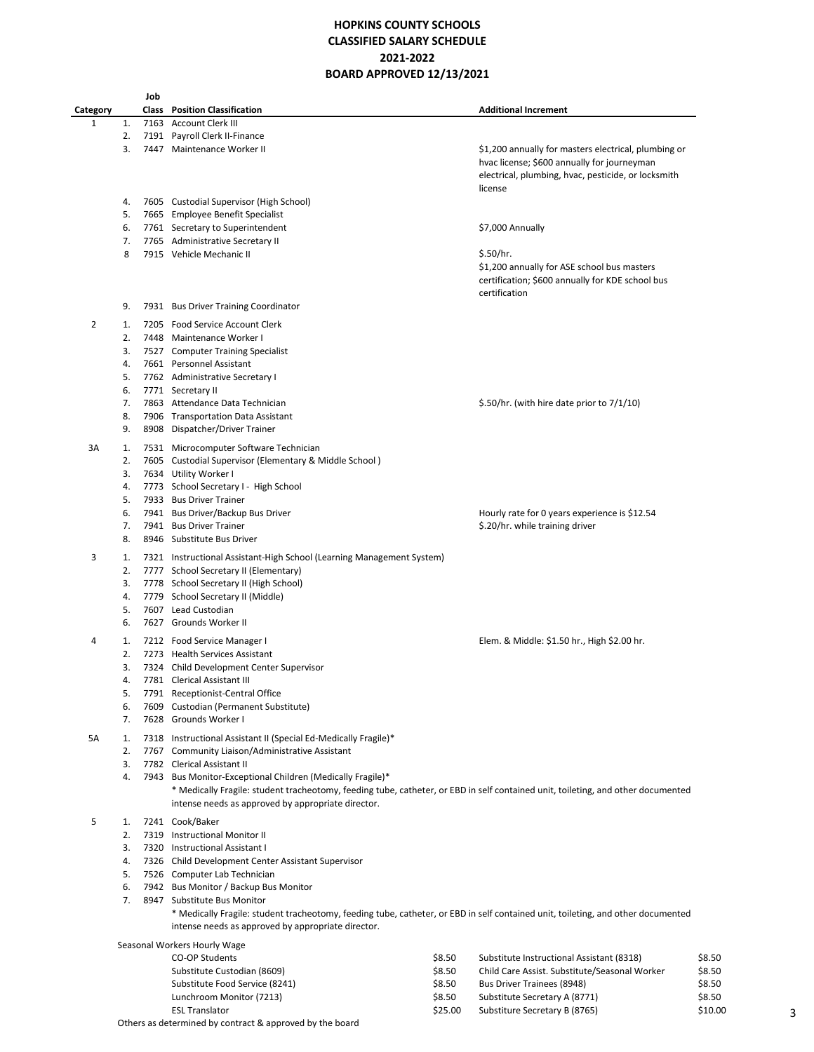### **HOPKINS COUNTY SCHOOLS CLASSIFIED SALARY SCHEDULE 2021-2022 BOARD APPROVED 12/13/2021**

|          |    | Job |                                                                                                                                                                                        |        |                                                                                                                                                                       |        |
|----------|----|-----|----------------------------------------------------------------------------------------------------------------------------------------------------------------------------------------|--------|-----------------------------------------------------------------------------------------------------------------------------------------------------------------------|--------|
| Category |    |     | <b>Class</b> Position Classification                                                                                                                                                   |        | <b>Additional Increment</b>                                                                                                                                           |        |
| 1        | 1. |     | 7163 Account Clerk III                                                                                                                                                                 |        |                                                                                                                                                                       |        |
|          | 2. |     | 7191 Payroll Clerk II-Finance                                                                                                                                                          |        |                                                                                                                                                                       |        |
|          | 3. |     | 7447 Maintenance Worker II                                                                                                                                                             |        | \$1,200 annually for masters electrical, plumbing or<br>hvac license; \$600 annually for journeyman<br>electrical, plumbing, hvac, pesticide, or locksmith<br>license |        |
|          | 4. |     | 7605 Custodial Supervisor (High School)                                                                                                                                                |        |                                                                                                                                                                       |        |
|          | 5. |     | 7665 Employee Benefit Specialist                                                                                                                                                       |        |                                                                                                                                                                       |        |
|          | 6. |     | 7761 Secretary to Superintendent                                                                                                                                                       |        | \$7,000 Annually                                                                                                                                                      |        |
|          | 7. |     | 7765 Administrative Secretary II                                                                                                                                                       |        |                                                                                                                                                                       |        |
|          | 8  |     | 7915 Vehicle Mechanic II                                                                                                                                                               |        | \$.50/hr.<br>\$1,200 annually for ASE school bus masters<br>certification; \$600 annually for KDE school bus<br>certification                                         |        |
|          | 9. |     | 7931 Bus Driver Training Coordinator                                                                                                                                                   |        |                                                                                                                                                                       |        |
| 2        | 1. |     | 7205 Food Service Account Clerk                                                                                                                                                        |        |                                                                                                                                                                       |        |
|          | 2. |     | 7448 Maintenance Worker I                                                                                                                                                              |        |                                                                                                                                                                       |        |
|          | 3. |     | 7527 Computer Training Specialist                                                                                                                                                      |        |                                                                                                                                                                       |        |
|          | 4. |     | 7661 Personnel Assistant                                                                                                                                                               |        |                                                                                                                                                                       |        |
|          | 5. |     | 7762 Administrative Secretary I                                                                                                                                                        |        |                                                                                                                                                                       |        |
|          | 6. |     | 7771 Secretary II                                                                                                                                                                      |        |                                                                                                                                                                       |        |
|          | 7. |     | 7863 Attendance Data Technician                                                                                                                                                        |        | \$.50/hr. (with hire date prior to $7/1/10$ )                                                                                                                         |        |
|          | 8. |     | 7906 Transportation Data Assistant                                                                                                                                                     |        |                                                                                                                                                                       |        |
|          | 9. |     | 8908 Dispatcher/Driver Trainer                                                                                                                                                         |        |                                                                                                                                                                       |        |
| 3A       | 1. |     | 7531 Microcomputer Software Technician                                                                                                                                                 |        |                                                                                                                                                                       |        |
|          | 2. |     | 7605 Custodial Supervisor (Elementary & Middle School)                                                                                                                                 |        |                                                                                                                                                                       |        |
|          | 3. |     | 7634 Utility Worker I                                                                                                                                                                  |        |                                                                                                                                                                       |        |
|          | 4. |     | 7773 School Secretary I - High School                                                                                                                                                  |        |                                                                                                                                                                       |        |
|          | 5. |     | 7933 Bus Driver Trainer                                                                                                                                                                |        |                                                                                                                                                                       |        |
|          | 6. |     | 7941 Bus Driver/Backup Bus Driver                                                                                                                                                      |        | Hourly rate for 0 years experience is \$12.54                                                                                                                         |        |
|          | 7. |     | 7941 Bus Driver Trainer                                                                                                                                                                |        | \$.20/hr. while training driver                                                                                                                                       |        |
|          | 8. |     | 8946 Substitute Bus Driver                                                                                                                                                             |        |                                                                                                                                                                       |        |
| 3        | 1. |     | 7321 Instructional Assistant-High School (Learning Management System)                                                                                                                  |        |                                                                                                                                                                       |        |
|          | 2. |     | 7777 School Secretary II (Elementary)                                                                                                                                                  |        |                                                                                                                                                                       |        |
|          | 3. |     | 7778 School Secretary II (High School)                                                                                                                                                 |        |                                                                                                                                                                       |        |
|          | 4. |     | 7779 School Secretary II (Middle)                                                                                                                                                      |        |                                                                                                                                                                       |        |
|          | 5. |     | 7607 Lead Custodian                                                                                                                                                                    |        |                                                                                                                                                                       |        |
|          | 6. |     | 7627 Grounds Worker II                                                                                                                                                                 |        |                                                                                                                                                                       |        |
| 4        | 1. |     | 7212 Food Service Manager I                                                                                                                                                            |        | Elem. & Middle: \$1.50 hr., High \$2.00 hr.                                                                                                                           |        |
|          | 2. |     | 7273 Health Services Assistant                                                                                                                                                         |        |                                                                                                                                                                       |        |
|          | 3. |     | 7324 Child Development Center Supervisor                                                                                                                                               |        |                                                                                                                                                                       |        |
|          | 4  |     | 7781 Clerical Assistant III                                                                                                                                                            |        |                                                                                                                                                                       |        |
|          | 5. |     | 7791 Receptionist-Central Office                                                                                                                                                       |        |                                                                                                                                                                       |        |
|          | 6. |     | 7609 Custodian (Permanent Substitute)                                                                                                                                                  |        |                                                                                                                                                                       |        |
|          | 7. |     | 7628 Grounds Worker I                                                                                                                                                                  |        |                                                                                                                                                                       |        |
| 5A       | 1. |     | 7318 Instructional Assistant II (Special Ed-Medically Fragile)*                                                                                                                        |        |                                                                                                                                                                       |        |
|          | 2. |     | 7767 Community Liaison/Administrative Assistant                                                                                                                                        |        |                                                                                                                                                                       |        |
|          | 3. |     | 7782 Clerical Assistant II                                                                                                                                                             |        |                                                                                                                                                                       |        |
|          | 4. |     | 7943 Bus Monitor-Exceptional Children (Medically Fragile)*                                                                                                                             |        |                                                                                                                                                                       |        |
|          |    |     | * Medically Fragile: student tracheotomy, feeding tube, catheter, or EBD in self contained unit, toileting, and other documented                                                       |        |                                                                                                                                                                       |        |
|          |    |     | intense needs as approved by appropriate director.                                                                                                                                     |        |                                                                                                                                                                       |        |
| 5        | 1. |     | 7241 Cook/Baker                                                                                                                                                                        |        |                                                                                                                                                                       |        |
|          | 2. |     | 7319 Instructional Monitor II                                                                                                                                                          |        |                                                                                                                                                                       |        |
|          | 3. |     | 7320 Instructional Assistant I                                                                                                                                                         |        |                                                                                                                                                                       |        |
|          | 4. |     | 7326 Child Development Center Assistant Supervisor                                                                                                                                     |        |                                                                                                                                                                       |        |
|          | 5. |     | 7526 Computer Lab Technician                                                                                                                                                           |        |                                                                                                                                                                       |        |
|          | 6. |     | 7942 Bus Monitor / Backup Bus Monitor                                                                                                                                                  |        |                                                                                                                                                                       |        |
|          | 7. |     | 8947 Substitute Bus Monitor                                                                                                                                                            |        |                                                                                                                                                                       |        |
|          |    |     | * Medically Fragile: student tracheotomy, feeding tube, catheter, or EBD in self contained unit, toileting, and other documented<br>intense needs as approved by appropriate director. |        |                                                                                                                                                                       |        |
|          |    |     | Seasonal Workers Hourly Wage                                                                                                                                                           |        |                                                                                                                                                                       |        |
|          |    |     | <b>CO-OP Students</b>                                                                                                                                                                  | \$8.50 | Substitute Instructional Assistant (8318)                                                                                                                             | \$8.50 |
|          |    |     | Substitute Custodian (8609)                                                                                                                                                            | \$8.50 | Child Care Assist. Substitute/Seasonal Worker                                                                                                                         | \$8.50 |
|          |    |     | Substitute Food Service (8241)                                                                                                                                                         | \$8.50 | Bus Driver Trainees (8948)                                                                                                                                            | \$8.50 |
|          |    |     | Lunchroom Monitor (7213)                                                                                                                                                               | \$8.50 | Substitute Secretary A (8771)                                                                                                                                         | \$8.50 |

ESL Translator \$25.00 Substiture Secretary B (8765)

Others as determined by contract & approved by the board

3

\$8.50 Substitute Secretary A (8771) \$8.50<br>\$25.00 Substiture Secretary B (8765) \$10.00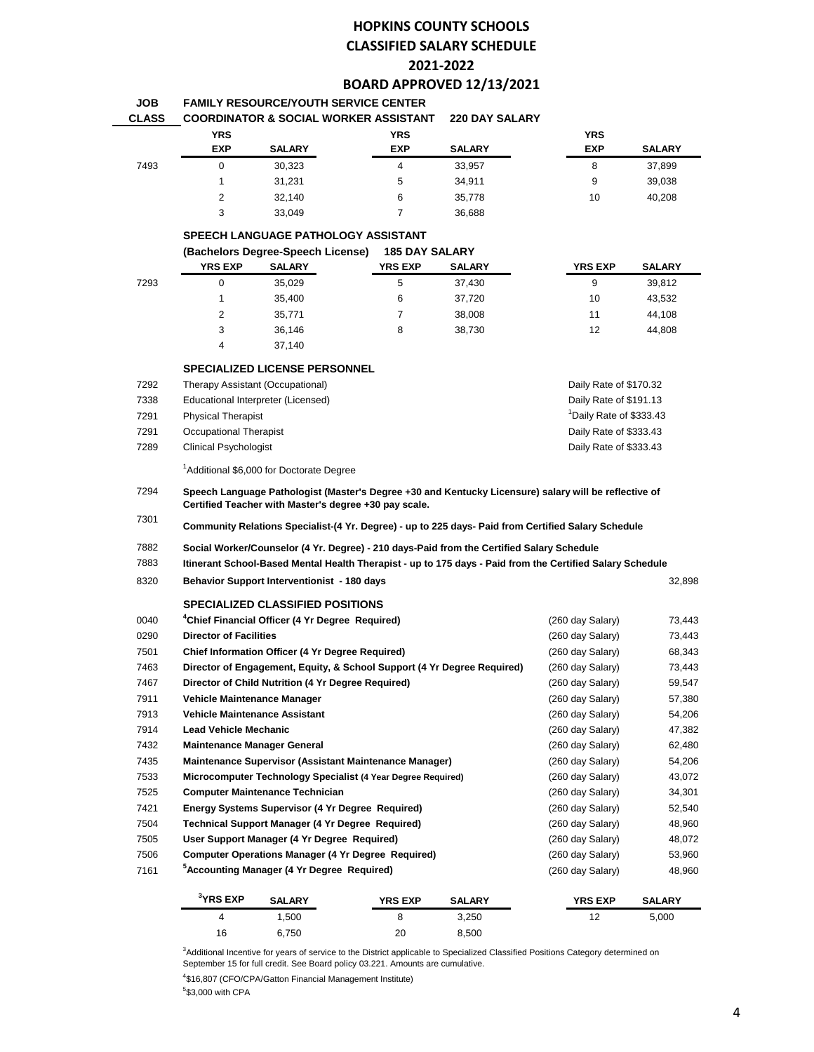# **HOPKINS COUNTY SCHOOLS CLASSIFIED SALARY SCHEDULE 2021-2022**

#### **BOARD APPROVED 12/13/2021 FAMILY RESOURCE/YOUTH SERVICE CENTER**

|                |               |                | <b>220 DAY SALARY</b>                                                                                            |                                                                           |               |
|----------------|---------------|----------------|------------------------------------------------------------------------------------------------------------------|---------------------------------------------------------------------------|---------------|
| <b>YRS</b>     |               | <b>YRS</b>     |                                                                                                                  | <b>YRS</b>                                                                |               |
| <b>EXP</b>     | <b>SALARY</b> | <b>EXP</b>     | <b>SALARY</b>                                                                                                    | <b>EXP</b>                                                                | <b>SALARY</b> |
| 0              | 30,323        | 4              | 33,957                                                                                                           | 8                                                                         | 37,899        |
|                | 31.231        | 5              | 34.911                                                                                                           | 9                                                                         | 39.038        |
| $\overline{2}$ | 32.140        | 6              | 35.778                                                                                                           | 10                                                                        | 40,208        |
| 3              | 33.049        |                | 36.688                                                                                                           |                                                                           |               |
|                |               |                |                                                                                                                  |                                                                           |               |
|                |               |                |                                                                                                                  |                                                                           |               |
| <b>YRS EXP</b> | <b>SALARY</b> | <b>YRS EXP</b> | <b>SALARY</b>                                                                                                    | <b>YRS EXP</b>                                                            | <b>SALARY</b> |
| 0              | 35.029        | 5              | 37.430                                                                                                           | 9                                                                         | 39.812        |
|                |               |                | FAMILI RESUURUE/IUUIN SERVIUE UENIER<br>SPEECH LANGUAGE PATHOLOGY ASSISTANT<br>(Bachelors Degree-Speech License) | <b>COORDINATOR &amp; SOCIAL WORKER ASSISTANT</b><br><b>185 DAY SALARY</b> |               |

| 7293 |   | 35,029 | 5 | 37,430 | 9  | 39,812 |
|------|---|--------|---|--------|----|--------|
|      |   | 35.400 | 6 | 37.720 | 10 | 43,532 |
|      |   | 35,771 |   | 38,008 | 11 | 44,108 |
|      | 3 | 36,146 | 8 | 38,730 | 12 | 44,808 |
|      | 4 | 37.140 |   |        |    |        |

#### **SPECIALIZED LICENSE PERSONNEL**

**JOB**

| 7292 | Therapy Assistant (Occupational)   | Daily Rate of \$170.32              |
|------|------------------------------------|-------------------------------------|
| 7338 | Educational Interpreter (Licensed) | Daily Rate of \$191.13              |
| 7291 | <b>Physical Therapist</b>          | <sup>1</sup> Daily Rate of \$333.43 |
| 7291 | Occupational Therapist             | Daily Rate of \$333.43              |
| 7289 | Clinical Psychologist              | Daily Rate of \$333.43              |
|      |                                    |                                     |

<sup>1</sup>Additional \$6,000 for Doctorate Degree

 **Speech Language Pathologist (Master's Degree +30 and Kentucky Licensure) salary will be reflective of Certified Teacher with Master's degree +30 pay scale.** 

 **Community Relations Specialist-(4 Yr. Degree) - up to 225 days- Paid from Certified Salary Schedule**

 **Social Worker/Counselor (4 Yr. Degree) - 210 days-Paid from the Certified Salary Schedule**

 **Itinerant School-Based Mental Health Therapist - up to 175 days - Paid from the Certified Salary Schedule**

# **Behavior Support Interventionist - 180 days** 32,898

|      |                                    | <b>SPECIALIZED CLASSIFIED POSITIONS</b>                                 |                                                              |               |                  |               |
|------|------------------------------------|-------------------------------------------------------------------------|--------------------------------------------------------------|---------------|------------------|---------------|
| 0040 |                                    | <sup>4</sup> Chief Financial Officer (4 Yr Degree Reguired)             |                                                              |               | (260 day Salary) | 73,443        |
| 0290 | <b>Director of Facilities</b>      |                                                                         |                                                              |               | (260 day Salary) | 73,443        |
| 7501 |                                    | Chief Information Officer (4 Yr Degree Required)                        | (260 day Salary)                                             | 68,343        |                  |               |
| 7463 |                                    | Director of Engagement, Equity, & School Support (4 Yr Degree Required) | (260 day Salary)                                             | 73,443        |                  |               |
| 7467 |                                    | Director of Child Nutrition (4 Yr Degree Required)                      |                                                              |               | (260 day Salary) | 59,547        |
| 7911 | Vehicle Maintenance Manager        |                                                                         |                                                              |               | (260 day Salary) | 57,380        |
| 7913 | Vehicle Maintenance Assistant      |                                                                         |                                                              |               | (260 day Salary) | 54,206        |
| 7914 | <b>Lead Vehicle Mechanic</b>       |                                                                         |                                                              |               | (260 day Salary) | 47,382        |
| 7432 | <b>Maintenance Manager General</b> |                                                                         |                                                              |               | (260 day Salary) | 62,480        |
| 7435 |                                    |                                                                         | Maintenance Supervisor (Assistant Maintenance Manager)       |               | (260 day Salary) | 54,206        |
| 7533 |                                    |                                                                         | Microcomputer Technology Specialist (4 Year Degree Required) |               | (260 day Salary) | 43,072        |
| 7525 |                                    | <b>Computer Maintenance Technician</b>                                  |                                                              |               | (260 day Salary) | 34,301        |
| 7421 |                                    | <b>Energy Systems Supervisor (4 Yr Degree Required)</b>                 |                                                              |               | (260 day Salary) | 52,540        |
| 7504 |                                    | <b>Technical Support Manager (4 Yr Degree Required)</b>                 |                                                              |               | (260 day Salary) | 48,960        |
| 7505 |                                    | User Support Manager (4 Yr Degree Required)                             |                                                              |               | (260 day Salary) | 48,072        |
| 7506 |                                    |                                                                         | Computer Operations Manager (4 Yr Degree Required)           |               | (260 day Salary) | 53,960        |
| 7161 |                                    | <sup>5</sup> Accounting Manager (4 Yr Degree Required)                  |                                                              |               | (260 day Salary) | 48,960        |
|      | $3$ YRS EXP                        | <b>SALARY</b>                                                           | <b>YRS EXP</b>                                               | <b>SALARY</b> | <b>YRS EXP</b>   | <b>SALARY</b> |

Additional Incentive for years of service to the District applicable to Specialized Classified Positions Category determined on September 15 for full credit. See Board policy 03.221. Amounts are cumulative.

1,500 8 3,250 12 5,000

6,750 20 8,500

\$16,807 (CFO/CPA/Gatton Financial Management Institute)

\$3,000 with CPA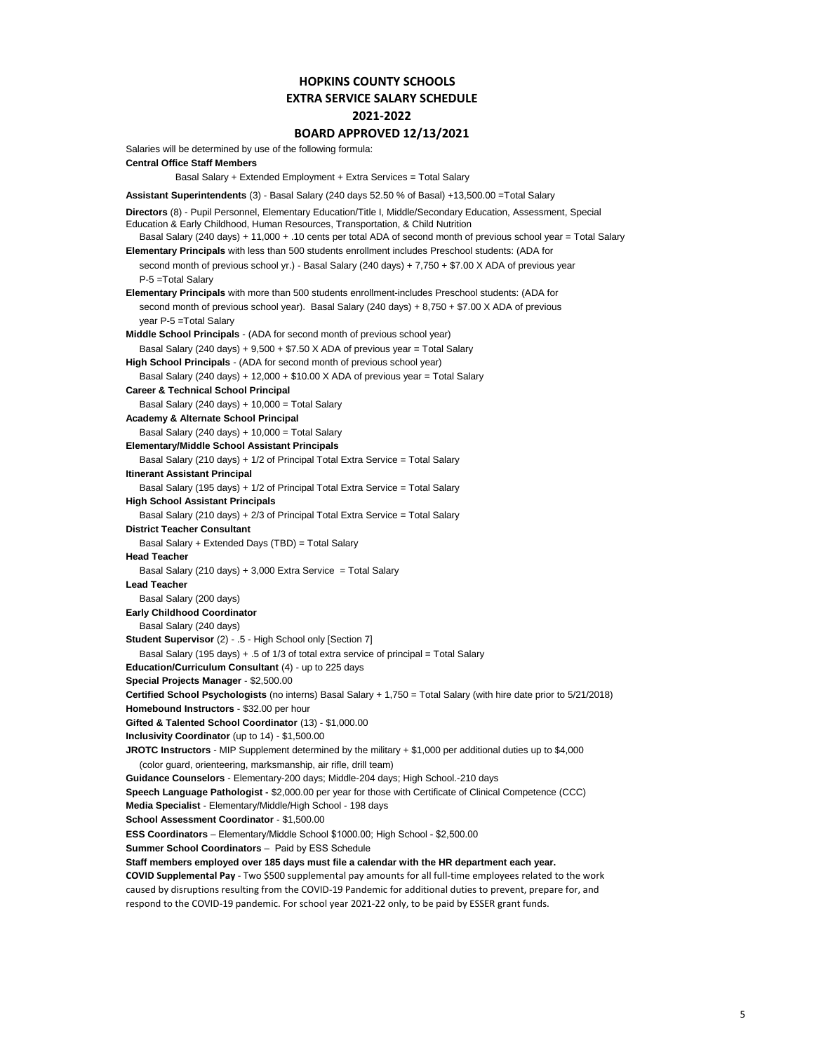## **HOPKINS COUNTY SCHOOLS EXTRA SERVICE SALARY SCHEDULE 2021-2022**

#### **BOARD APPROVED 12/13/2021**

Salaries will be determined by use of the following formula: **Central Office Staff Members** Basal Salary + Extended Employment + Extra Services = Total Salary **Assistant Superintendents** (3) - Basal Salary (240 days 52.50 % of Basal) +13,500.00 =Total Salary Basal Salary (240 days) + 11,000 + .10 cents per total ADA of second month of previous school year = Total Salary **Elementary Principals** with less than 500 students enrollment includes Preschool students: (ADA for second month of previous school yr.) - Basal Salary (240 days) + 7,750 + \$7.00 X ADA of previous year P-5 =Total Salary **Elementary Principals** with more than 500 students enrollment-includes Preschool students: (ADA for second month of previous school year). Basal Salary (240 days) + 8,750 + \$7.00 X ADA of previous year P-5 =Total Salary **Middle School Principals** - (ADA for second month of previous school year) Basal Salary (240 days) + 9,500 + \$7.50 X ADA of previous year = Total Salary **High School Principals** - (ADA for second month of previous school year) Basal Salary (240 days) + 12,000 + \$10.00 X ADA of previous year = Total Salary **Career & Technical School Principal** Basal Salary (240 days) + 10,000 = Total Salary **Academy & Alternate School Principal** Basal Salary (240 days) + 10,000 = Total Salary **Elementary/Middle School Assistant Principals** Basal Salary (210 days) + 1/2 of Principal Total Extra Service = Total Salary **Itinerant Assistant Principal** Basal Salary (195 days) + 1/2 of Principal Total Extra Service = Total Salary **High School Assistant Principals** Basal Salary (210 days) + 2/3 of Principal Total Extra Service = Total Salary **District Teacher Consultant** Basal Salary + Extended Days (TBD) = Total Salary **Head Teacher** Basal Salary (210 days) + 3,000 Extra Service = Total Salary **Lead Teacher** Basal Salary (200 days) **Early Childhood Coordinator** Basal Salary (240 days) **Student Supervisor** (2) - .5 - High School only [Section 7] Basal Salary (195 days) + .5 of 1/3 of total extra service of principal = Total Salary **Education/Curriculum Consultant** (4) - up to 225 days **Special Projects Manager** - \$2,500.00 **Certified School Psychologists** (no interns) Basal Salary + 1,750 = Total Salary (with hire date prior to 5/21/2018) **Homebound Instructors** - \$32.00 per hour **Gifted & Talented School Coordinator** (13) - \$1,000.00 **Inclusivity Coordinator** (up to 14) - \$1,500.00 **JROTC Instructors** - MIP Supplement determined by the military + \$1,000 per additional duties up to \$4,000 (color guard, orienteering, marksmanship, air rifle, drill team) **Guidance Counselors** - Elementary-200 days; Middle-204 days; High School.-210 days **Speech Language Pathologist -** \$2,000.00 per year for those with Certificate of Clinical Competence (CCC) **Media Specialist** - Elementary/Middle/High School - 198 days **School Assessment Coordinator** - \$1,500.00 **Staff members employed over 185 days must file a calendar with the HR department each year. COVID Supplemental Pay** - Two \$500 supplemental pay amounts for all full-time employees related to the work caused by disruptions resulting from the COVID-19 Pandemic for additional duties to prevent, prepare for, and respond to the COVID-19 pandemic. For school year 2021-22 only, to be paid by ESSER grant funds. **Directors** (8) - Pupil Personnel, Elementary Education/Title I, Middle/Secondary Education, Assessment, Special Education & Early Childhood, Human Resources, Transportation, & Child Nutrition **ESS Coordinators** – Elementary/Middle School \$1000.00; High School - \$2,500.00 **Summer School Coordinators** – Paid by ESS Schedule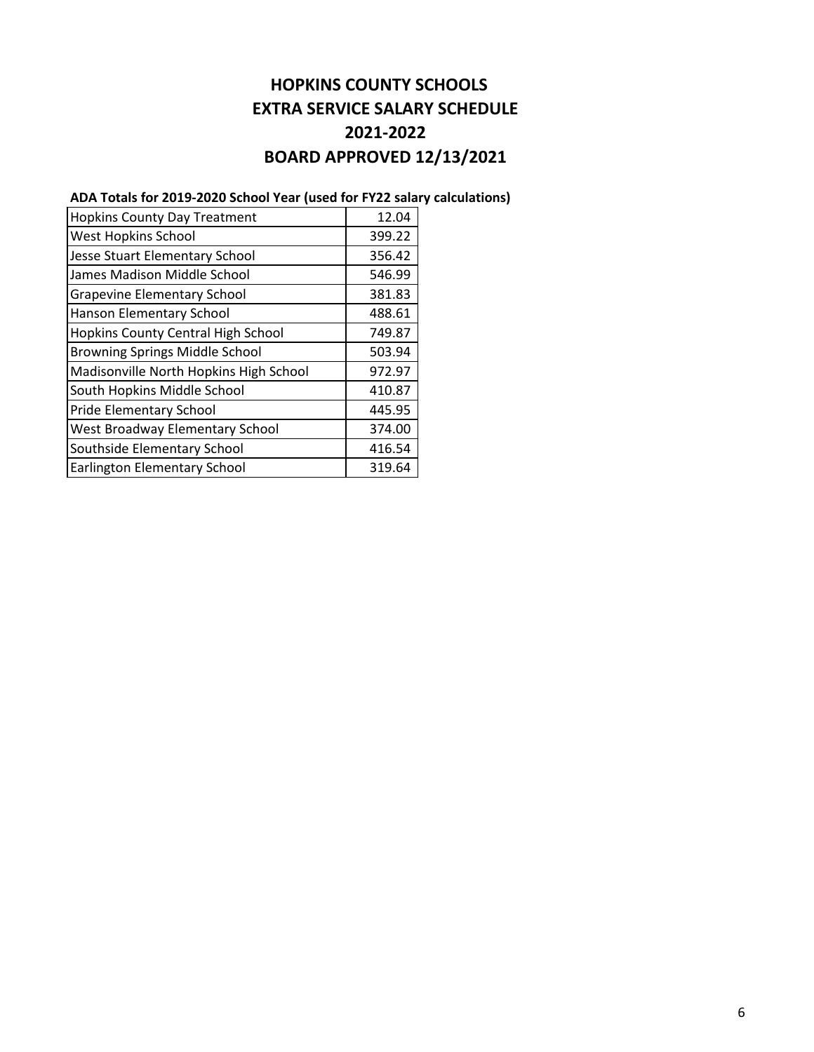# **HOPKINS COUNTY SCHOOLS EXTRA SERVICE SALARY SCHEDULE 2021-2022 BOARD APPROVED 12/13/2021**

# **ADA Totals for 2019-2020 School Year (used for FY22 salary calculations)**

| <b>Hopkins County Day Treatment</b>    | 12.04  |
|----------------------------------------|--------|
| <b>West Hopkins School</b>             | 399.22 |
| Jesse Stuart Elementary School         | 356.42 |
| James Madison Middle School            | 546.99 |
| <b>Grapevine Elementary School</b>     | 381.83 |
| Hanson Elementary School               | 488.61 |
| Hopkins County Central High School     | 749.87 |
| <b>Browning Springs Middle School</b>  | 503.94 |
| Madisonville North Hopkins High School | 972.97 |
| South Hopkins Middle School            | 410.87 |
| <b>Pride Elementary School</b>         | 445.95 |
| <b>West Broadway Elementary School</b> | 374.00 |
| Southside Elementary School            | 416.54 |
| <b>Earlington Elementary School</b>    | 319.64 |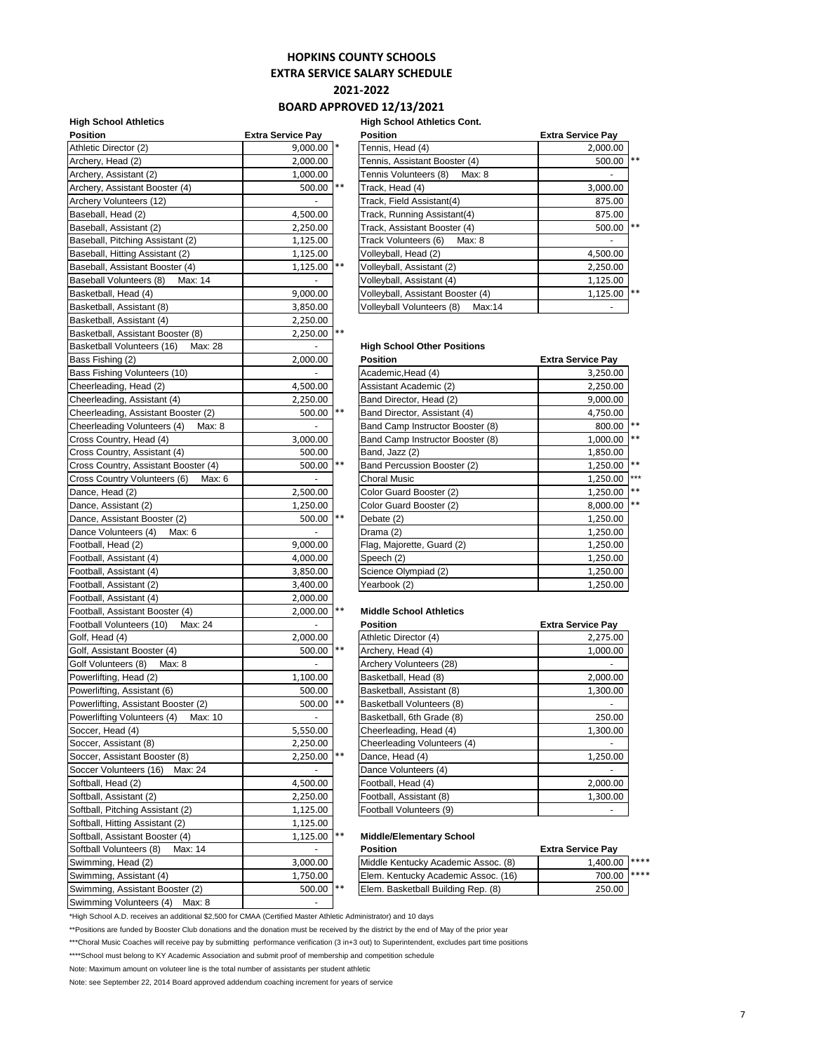## **HOPKINS COUNTY SCHOOLS**

**EXTRA SERVICE SALARY SCHEDULE**

**2021-2022**

### **BOARD APPROVED 12/13/2021**

#### **High School Athletics High School Athletics Cont.**

| <b>Position</b>                        | <b>Extra Service Pay</b> |       | <b>Position</b>                     | <b>Extra Service Pay</b> |
|----------------------------------------|--------------------------|-------|-------------------------------------|--------------------------|
| Athletic Director (2)                  | $9.000.00$ *             |       | Tennis, Head (4)                    | 2,000.00                 |
| Archery, Head (2)                      | 2,000.00                 |       | Tennis, Assistant Booster (4)       | 500.00                   |
| Archery, Assistant (2)                 | 1,000.00                 |       | Tennis Volunteers (8)<br>Max: 8     |                          |
| Archery, Assistant Booster (4)         | 500.00  **               |       | Track, Head (4)                     | 3,000.00                 |
| Archery Volunteers (12)                | $\sim$                   |       | Track, Field Assistant(4)           | 875.00                   |
| Baseball, Head (2)                     | 4,500.00                 |       | Track, Running Assistant(4)         | 875.00                   |
| Baseball, Assistant (2)                | 2,250.00                 |       | Track, Assistant Booster (4)        | 500.00                   |
| Baseball, Pitching Assistant (2)       | 1,125.00                 |       | Track Volunteers (6)<br>Max: 8      | $\sim$                   |
| Baseball, Hitting Assistant (2)        | 1,125.00                 |       | Volleyball, Head (2)                | 4,500.00                 |
| Baseball, Assistant Booster (4)        | 1,125.00 **              |       | Volleyball, Assistant (2)           | 2,250.00                 |
| Baseball Volunteers (8)<br>Max: 14     |                          |       | Volleyball, Assistant (4)           | 1,125.00                 |
| Basketball, Head (4)                   | 9,000.00                 |       | Volleyball, Assistant Booster (4)   | 1,125.00                 |
| Basketball, Assistant (8)              | 3,850.00                 |       | Volleyball Volunteers (8)<br>Max:14 |                          |
| Basketball, Assistant (4)              | 2,250.00                 |       |                                     |                          |
| Basketball, Assistant Booster (8)      | 2,250.00 **              |       |                                     |                          |
| Basketball Volunteers (16)<br>Max: 28  | $\sim$                   |       | <b>High School Other Positions</b>  |                          |
| Bass Fishing (2)                       | 2,000.00                 |       | <b>Position</b>                     | <b>Extra Service Pay</b> |
| Bass Fishing Volunteers (10)           |                          |       | Academic, Head (4)                  | 3,250.00                 |
| Cheerleading, Head (2)                 | 4,500.00                 |       | Assistant Academic (2)              | 2,250.00                 |
| Cheerleading, Assistant (4)            | 2,250.00                 |       | Band Director, Head (2)             | 9,000.00                 |
| Cheerleading, Assistant Booster (2)    | 500.00 **                |       | Band Director, Assistant (4)        | 4,750.00                 |
| Cheerleading Volunteers (4)<br>Max: 8  |                          |       | Band Camp Instructor Booster (8)    | 800.00                   |
| Cross Country, Head (4)                | 3,000.00                 |       | Band Camp Instructor Booster (8)    | 1,000.00                 |
|                                        | 500.00                   |       | Band, Jazz (2)                      |                          |
| Cross Country, Assistant (4)           | 500.00  **               |       | Band Percussion Booster (2)         | 1,850.00                 |
| Cross Country, Assistant Booster (4)   |                          |       | <b>Choral Music</b>                 | 1,250.00                 |
| Cross Country Volunteers (6)<br>Max: 6 |                          |       |                                     | 1,250.00                 |
| Dance, Head (2)                        | 2,500.00                 |       | Color Guard Booster (2)             | 1,250.00                 |
| Dance, Assistant (2)                   | 1,250.00                 |       | Color Guard Booster (2)             | 8,000.00                 |
| Dance, Assistant Booster (2)           | 500.00 **<br>$\omega$    |       | Debate (2)                          | 1,250.00                 |
| Dance Volunteers (4)<br>Max: 6         |                          |       | Drama (2)                           | 1,250.00                 |
| Football, Head (2)                     | 9,000.00                 |       | Flag, Majorette, Guard (2)          | 1,250.00                 |
| Football, Assistant (4)                | 4,000.00                 |       | Speech (2)                          | 1,250.00                 |
| Football, Assistant (4)                | 3,850.00                 |       | Science Olympiad (2)                | 1,250.00                 |
| Football, Assistant (2)                | 3,400.00                 |       | Yearbook (2)                        | 1,250.00                 |
| Football, Assistant (4)                | 2,000.00                 |       |                                     |                          |
| Football, Assistant Booster (4)        | 2,000.00 **              |       | <b>Middle School Athletics</b>      |                          |
| Football Volunteers (10) Max: 24       | $\sim$                   |       | <b>Position</b>                     | <b>Extra Service Pay</b> |
| Golf, Head (4)                         | 2,000.00                 |       | Athletic Director (4)               | 2,275.00                 |
| Golf, Assistant Booster (4)            | 500.00  **               |       | Archery, Head (4)                   | 1,000.00                 |
| Golf Volunteers (8)<br>Max: 8          |                          |       | Archery Volunteers (28)             |                          |
| Powerlifting, Head (2)                 | 1,100.00                 |       | Basketball, Head (8)                | 2,000.00                 |
| Powerlifting, Assistant (6)            | 500.00                   |       | Basketball, Assistant (8)           | 1,300.00                 |
| Powerlifting, Assistant Booster (2)    | 500.00  **               |       | Basketball Volunteers (8)           |                          |
| Powerlifting Volunteers (4) Max: 10    | $\blacksquare$           |       | Basketball, 6th Grade (8)           | 250.00                   |
| Soccer, Head (4)                       | 5,550.00                 |       | Cheerleading, Head (4)              | 1,300.00                 |
| Soccer, Assistant (8)                  | 2,250.00                 |       | Cheerleading Volunteers (4)         |                          |
| Soccer, Assistant Booster (8)          | 2,250.00 **              |       | Dance, Head (4)                     | 1,250.00                 |
| Soccer Volunteers (16)<br>Max: 24      | $\blacksquare$           |       | Dance Volunteers (4)                |                          |
| Softball, Head (2)                     | 4,500.00                 |       | Football, Head (4)                  | 2,000.00                 |
| Softball, Assistant (2)                | 2,250.00                 |       | Football, Assistant (8)             | 1,300.00                 |
| Softball, Pitching Assistant (2)       | 1,125.00                 |       | Football Volunteers (9)             |                          |
| Softball, Hitting Assistant (2)        | 1,125.00                 |       |                                     |                          |
| Softball, Assistant Booster (4)        | 1,125.00                 | $***$ | <b>Middle/Elementary School</b>     |                          |
| Softball Volunteers (8)<br>Max: 14     | $\overline{\phantom{a}}$ |       | <b>Position</b>                     | <b>Extra Service Pay</b> |
| Swimming, Head (2)                     | 3,000.00                 |       | Middle Kentucky Academic Assoc. (8) | 1,400.00                 |
| Swimming, Assistant (4)                | 1,750.00                 |       | Elem. Kentucky Academic Assoc. (16) | 700.00                   |
| Swimming, Assistant Booster (2)        | 500.00                   | $***$ | Elem. Basketball Building Rep. (8)  | 250.00                   |
| Swimming Volunteers (4)<br>Max: 8      |                          |       |                                     |                          |

| Position                           | <b>Extra Service Pay</b> | <b>Position</b>                     | <b>Extra Service Pay</b> |       |
|------------------------------------|--------------------------|-------------------------------------|--------------------------|-------|
| Athletic Director (2)              | $9,000.00$ *             | Tennis, Head (4)                    | 2,000.00                 |       |
| Archery, Head (2)                  | 2,000.00                 | Tennis, Assistant Booster (4)       | 500.00                   | $***$ |
| Archery, Assistant (2)             | 1,000.00                 | Tennis Volunteers (8)<br>Max: 8     |                          |       |
| Archery, Assistant Booster (4)     | 500.00 **                | Track, Head (4)                     | 3,000.00                 |       |
| Archery Volunteers (12)            |                          | Track, Field Assistant(4)           | 875.00                   |       |
| Baseball, Head (2)                 | 4,500.00                 | Track, Running Assistant(4)         | 875.00                   |       |
| Baseball, Assistant (2)            | 2,250.00                 | Track, Assistant Booster (4)        | 500.00                   | **    |
| Baseball, Pitching Assistant (2)   | 1,125.00                 | Track Volunteers (6)<br>Max: 8      |                          |       |
| Baseball, Hitting Assistant (2)    | 1,125.00                 | Volleyball, Head (2)                | 4,500.00                 |       |
| Baseball, Assistant Booster (4)    | $1,125.00$ **            | Volleyball, Assistant (2)           | 2,250.00                 |       |
| Baseball Volunteers (8)<br>Max: 14 |                          | Volleyball, Assistant (4)           | 1,125.00                 |       |
| Basketball, Head (4)               | 9,000.00                 | Volleyball, Assistant Booster (4)   | 1,125.00                 | **    |
| Basketball, Assistant (8)          | 3,850.00                 | Volleyball Volunteers (8)<br>Max:14 |                          |       |

#### **High School Other Positions**

| Bass Fishing (2)                       | 2,000.00 |       | <b>Position</b>                  | <b>Extra Service Pay</b> |     |
|----------------------------------------|----------|-------|----------------------------------|--------------------------|-----|
| Bass Fishing Volunteers (10)           |          |       | Academic, Head (4)               | 3,250.00                 |     |
| Cheerleading, Head (2)                 | 4,500.00 |       | Assistant Academic (2)           | 2,250.00                 |     |
| Cheerleading, Assistant (4)            | 2,250.00 |       | Band Director, Head (2)          | 9,000.00                 |     |
| Cheerleading, Assistant Booster (2)    | 500.00   | **    | Band Director, Assistant (4)     | 4,750.00                 |     |
| Cheerleading Volunteers (4)<br>Max: 8  |          |       | Band Camp Instructor Booster (8) | 800.00 **                |     |
| Cross Country, Head (4)                | 3,000.00 |       | Band Camp Instructor Booster (8) | 1,000.00 **              |     |
| Cross Country, Assistant (4)           | 500.00   |       | Band, Jazz (2)                   | 1,850.00                 |     |
| Cross Country, Assistant Booster (4)   | 500.00   | $***$ | Band Percussion Booster (2)      | 1,250.00 **              |     |
| Cross Country Volunteers (6)<br>Max: 6 |          |       | Choral Music                     | 1,250.00                 | *** |
| Dance, Head (2)                        | 2,500.00 |       | Color Guard Booster (2)          | 1,250.00 **              |     |
| Dance, Assistant (2)                   | 1,250.00 |       | Color Guard Booster (2)          | 8.000.00                 | **  |
| Dance, Assistant Booster (2)           | 500.00   | $***$ | Debate (2)                       | 1,250.00                 |     |
| Dance Volunteers (4)<br>Max: 6         |          |       | Drama (2)                        | 1,250.00                 |     |
| Football, Head (2)                     | 9,000.00 |       | Flag, Majorette, Guard (2)       | 1,250.00                 |     |
| Football, Assistant (4)                | 4,000.00 |       | Speech (2)                       | 1,250.00                 |     |
| Football, Assistant (4)                | 3,850.00 |       | Science Olympiad (2)             | 1,250.00                 |     |
| Football, Assistant (2)                | 3,400.00 |       | Yearbook (2)                     | 1,250.00                 |     |

#### **Middle School Athletics**

| <b>Position</b>             | <b>Extra Service Pay</b> |
|-----------------------------|--------------------------|
| Athletic Director (4)       | 2,275.00                 |
| Archery, Head (4)           | 1,000.00                 |
| Archery Volunteers (28)     |                          |
| Basketball, Head (8)        | 2,000.00                 |
| Basketball, Assistant (8)   | 1,300.00                 |
| Basketball Volunteers (8)   |                          |
| Basketball, 6th Grade (8)   | 250.00                   |
| Cheerleading, Head (4)      | 1,300.00                 |
| Cheerleading Volunteers (4) |                          |
| Dance, Head (4)             | 1,250.00                 |
| Dance Volunteers (4)        |                          |
| Football, Head (4)          | 2,000.00                 |
| Football, Assistant (8)     | 1,300.00                 |
| Football Volunteers (9)     |                          |

#### **Middle/Elementary School**

| Softball Volunteers (8)<br>Max: 14 | -         | <b>Position</b>                     | <b>Extra Service Pav</b> |  |
|------------------------------------|-----------|-------------------------------------|--------------------------|--|
| Swimming, Head (2)                 | 3.000.00  | Middle Kentucky Academic Assoc. (8) | 1.400.00 ****            |  |
| Swimming. Assistant (4)            | 1.750.00  | Elem. Kentucky Academic Assoc. (16) | 700.00 ****              |  |
| Swimming, Assistant Booster (2)    | 500.00 ** | Elem. Basketball Building Rep. (8)  | 250.00                   |  |
|                                    |           |                                     |                          |  |

\*High School A.D. receives an additional \$2,500 for CMAA (Certified Master Athletic Administrator) and 10 days

\*\*Positions are funded by Booster Club donations and the donation must be received by the district by the end of May of the prior year

\*\*\*Choral Music Coaches will receive pay by submitting performance verification (3 in+3 out) to Superintendent, excludes part time positions

\*\*\*\*School must belong to KY Academic Association and submit proof of membership and competition schedule

Note: Maximum amount on voluteer line is the total number of assistants per student athletic

Note: see September 22, 2014 Board approved addendum coaching increment for years of service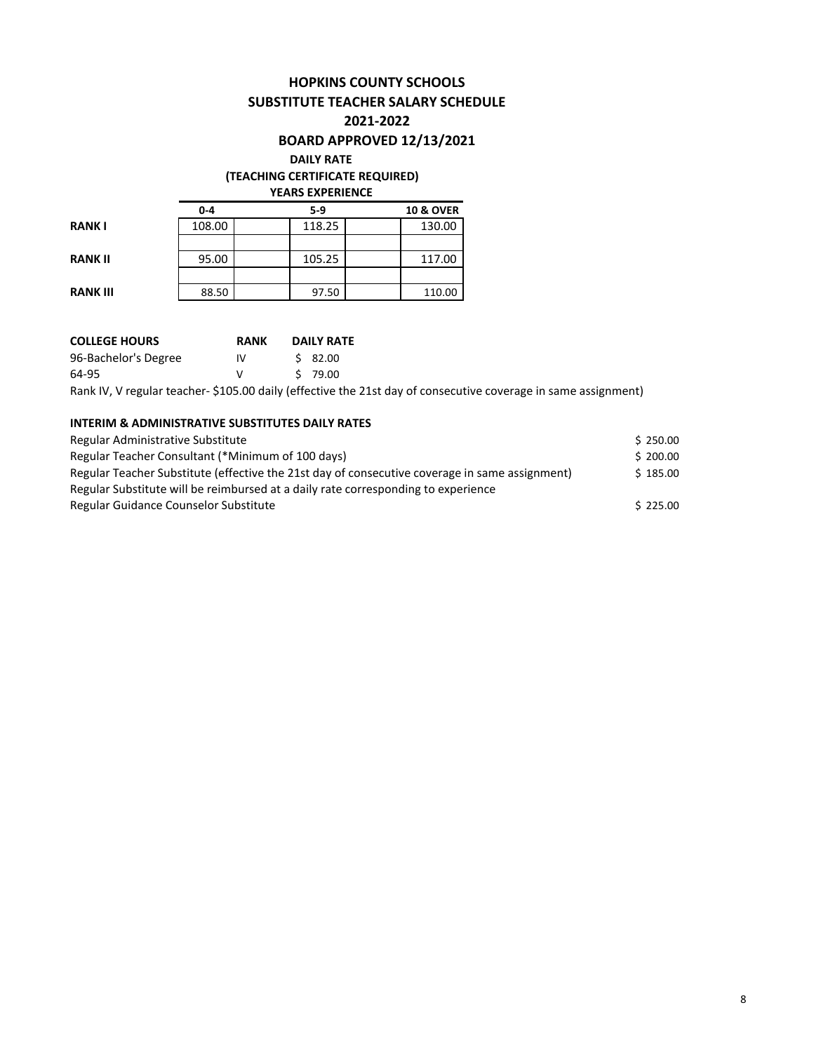# **HOPKINS COUNTY SCHOOLS SUBSTITUTE TEACHER SALARY SCHEDULE**

### **2021-2022**

# **BOARD APPROVED 12/13/2021**

#### **DAILY RATE**

### **(TEACHING CERTIFICATE REQUIRED)**

**YEARS EXPERIENCE**

|                 | $0 - 4$ | $5-9$  | <b>10 &amp; OVER</b> |
|-----------------|---------|--------|----------------------|
| <b>RANK I</b>   | 108.00  | 118.25 | 130.00               |
|                 |         |        |                      |
| <b>RANK II</b>  | 95.00   | 105.25 | 117.00               |
|                 |         |        |                      |
| <b>RANK III</b> | 88.50   | 97.50  | 110.00               |

| <b>COLLEGE HOURS</b> | <b>RANK</b> | <b>DAILY RATE</b>                                                                                              |
|----------------------|-------------|----------------------------------------------------------------------------------------------------------------|
| 96-Bachelor's Degree | IV          | \$ 82.00                                                                                                       |
| 64-95                |             | S 79.00                                                                                                        |
|                      |             | Rank IV, V regular teacher- \$105.00 daily (effective the 21st day of consecutive coverage in same assignment) |

### **INTERIM & ADMINISTRATIVE SUBSTITUTES DAILY RATES**

| Regular Administrative Substitute                                                              | \$250.00 |
|------------------------------------------------------------------------------------------------|----------|
| Regular Teacher Consultant (*Minimum of 100 days)                                              | \$200.00 |
| Regular Teacher Substitute (effective the 21st day of consecutive coverage in same assignment) | \$185.00 |
| Regular Substitute will be reimbursed at a daily rate corresponding to experience              |          |
| Regular Guidance Counselor Substitute                                                          | \$225.00 |